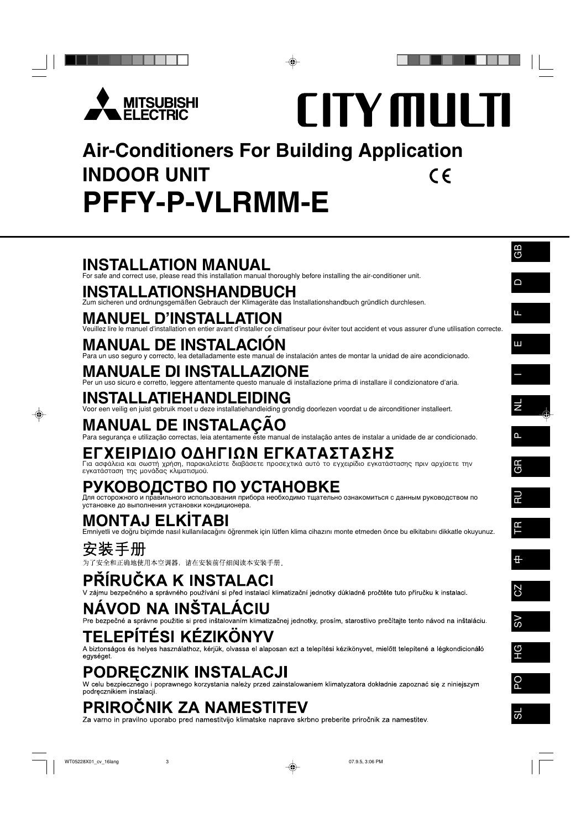

CITYMULT

GB

 $\mathsf{H}$ 

Ш

D

PO HG SV CZ TR RU GR

Ŋ

SV

SL

<u>በ</u>

n<br>N<br>I Elizabeth C

# **Air-Conditioners For Building Application INDOOR UNIT**  $\epsilon$ **PFFY-P-VLRMM-E**

# **INSTALLATION MANUAL**

For safe and correct use, please read this installation manual thoroughly before installing the air-conditioner unit.

# **INSTALLATIONSHANDBUCH**

Zum sicheren und ordnungsgemäßen Gebrauch der Klimageräte das Installationshandbuch gründlich durchlesen.

# **MANUEL D'INSTALLATION**

Veuillez lire le manuel d'installation en entier avant d'installer ce climatiseur pour éviter tout accident et vous assurer d'une utilisation correcte.

# **MANUAL DE INSTALACIÓN**

Para un uso seguro y correcto, lea detalladamente este manual de instalación antes de montar la unidad de aire acondicionado.

# **MANUALE DI INSTALLAZIONE**

Per un uso sicuro e corretto, leggere attentamente questo manuale di installazione prima di installare il condizionatore d'aria.

# **INSTALLATIEHANDLEIDING**

Voor een veilig en juist gebruik moet u deze installatiehandleiding grondig doorlezen voordat u de airconditioner installeert.

# **MANUAL DE INSTALAÇÃO**

Para segurança e utilização correctas, leia atentamente este manual de instalação antes de instalar a unidade de ar condicionado.

# **ΕΓΧΕΙΡΙΔΙΟ ΟΔΗΓΙΩΝ ΕΓΚΑΤΑΣΤΑΣΗΣ**

Για ασφάλεια και σωστή χρήση, παρακαλείστε διαβάσετε προσεχτικά αυτό το εγχειρίδιο εγκατάστασης πριν αρχίσετε την εγκατάσταση της μονάδας κλιματισμού.

# **РУКОВОДСТВО ПО УСТАНОВКЕ**

Для осторожного и правильного использования прибора необходимо тщательно ознакомиться с данным руководством по установке до выполнения установки кондиционера.

# **MONTAJ ELK‹TABI**

Emniyetli ve doğru biçimde nasıl kullanılacağını öğrenmek için lütfen klima cihazını monte etmeden önce bu elkitabını dikkatle okuyunuz.

安装丰册

为了安全和正确地使用本空调器, 请在安装前仔细阅读本安装手册。

# PŘÍRUČKA K INSTALACI

V zájmu bezpečného a správného používání si před instalací klimatizační jednotky důkladně pročtěte tuto příručku k instalaci.

# NÁVOD NA INŠTALÁCIU

Pre bezpečné a správne použitie si pred inštalovaním klimatizačnej jednotky, prosím, starostlivo prečítajte tento návod na inštaláciu.

# EPÍTÉSI KÉZIKÖNYV

A biztonságos és helyes használathoz, kérjük, olvassa el alaposan ezt a telepítési kézikönyvet, mielőtt telepítené a légkondicionáló egységet.

# **PODRĘCZNIK INSTALACJI**

W celu bezpiecznego i poprawnego korzystania należy przed zainstalowaniem klimatyzatora dokładnie zapoznać się z niniejszym podręcznikiem instalacji.

# PRIROCNIK ZA NAMESTITEV

Za varno in pravilno uporabo pred namestitvijo klimatske naprave skrbno preberite priročnik za namestitev.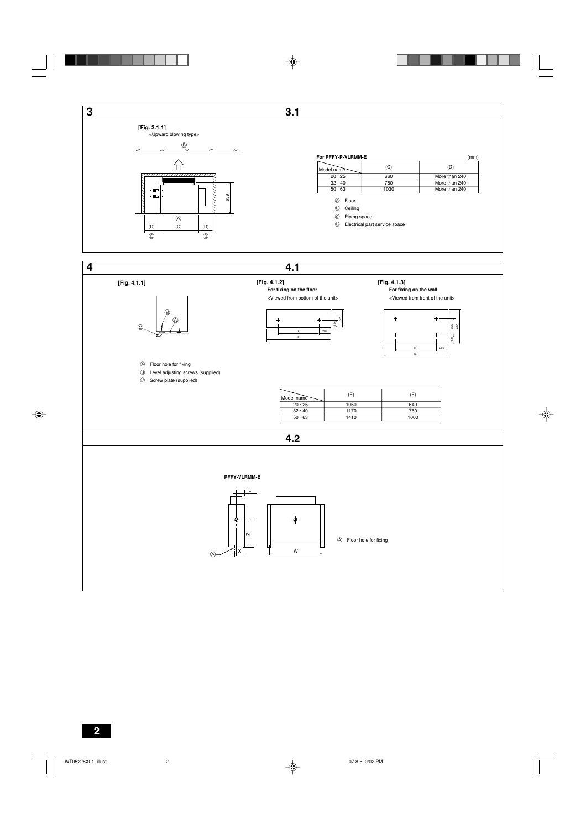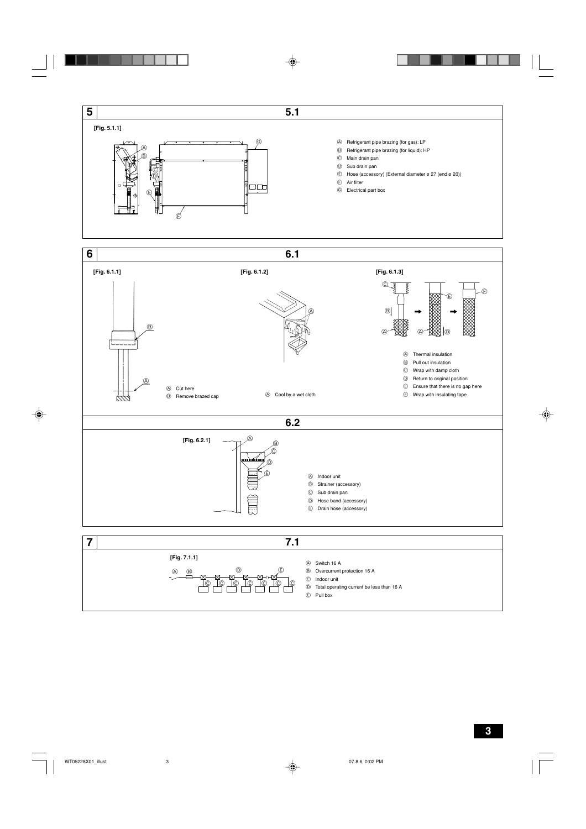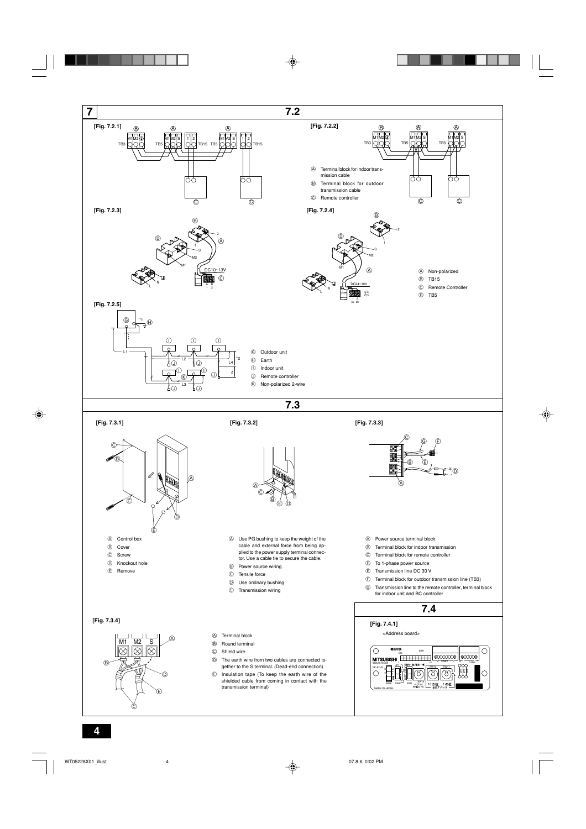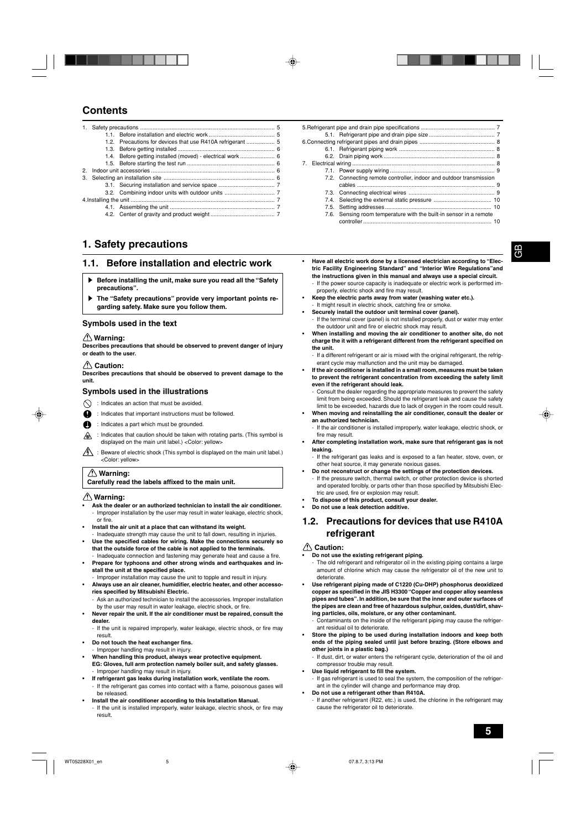# **Contents**

1. Safety precautions ...................................................................................... 5 ...<br>1.1. Before installation and electric work ................................ 1.2. Precautions for devices that use R410A refrigerant .................. 5 1.3. Before getting installed .............................................................. 6 1.4. Before getting installed (moved) - electrical work ...................... 6 1.5. Before starting the test run ........................................................ 6 2. Indoor unit accessories ............................................................................... 6 3. Selecting an installation site ....................................................................... 6 3.1. Securing installation and service space .................................... 7 3.2. Combining indoor units with outdoor units ................................ 7 4.Installing the unit ............................................................................................ 7 4.1. Assembling the unit ................................................................... 7 4.2. Center of gravity and product weight ......................................... 7

# **1. Safety precautions**

## **1.1. Before installation and electric work**

- **Before installing the unit, make sure you read all the "Safety" precautions".**
- The "Safety precautions" provide very important points re**garding safety. Make sure you follow them.**

## **Symbols used in the text**

## **Warning:**

**Describes precautions that should be observed to prevent danger of injury or death to the user.**

## **Caution:**

**Describes precautions that should be observed to prevent damage to the unit.**

## **Symbols used in the illustrations**

: Indicates an action that must be avoided.

- Q : Indicates that important instructions must be followed.
- : Indicates a part which must be grounded. O
- : Indicates that caution should be taken with rotating parts. (This symbol is ⚠ displayed on the main unit label.) < Color: yellow>
- : Beware of electric shock (This symbol is displayed on the main unit label.) <Color: yellow>

# **Warning:**

## **Carefully read the labels affixed to the main unit.**

### **Warning:**

- **Ask the dealer or an authorized technician to install the air conditioner.** - Improper installation by the user may result in water leakage, electric shock, or fire.
- **Install the air unit at a place that can withstand its weight.**
- Inadequate strength may cause the unit to fall down, resulting in injuries. **• Use the specified cables for wiring. Make the connections securely so that the outside force of the cable is not applied to the terminals.**
- Inadequate connection and fastening may generate heat and cause a fire. **• Prepare for typhoons and other strong winds and earthquakes and install the unit at the specified place.**
- Improper installation may cause the unit to topple and result in injury. **• Always use an air cleaner, humidifier, electric heater, and other accesso-**
- **ries specified by Mitsubishi Electric.** - Ask an authorized technician to install the accessories. Improper installation
	- by the user may result in water leakage, electric shock, or fire.
- **Never repair the unit. If the air conditioner must be repaired, consult the dealer.**

- If the unit is repaired improperly, water leakage, electric shock, or fire may result.

- **Do not touch the heat exchanger fins.**
- Improper handling may result in injury.
- **When handling this product, always wear protective equipment. EG: Gloves, full arm protection namely boiler suit, and safety glasses.** - Improper handling may result in injury.
- **If refrigerant gas leaks during installation work, ventilate the room.** - If the refrigerant gas comes into contact with a flame, poisonous gases will be released.
- **Install the air conditioner according to this Installation Manual.** - If the unit is installed improperly, water leakage, electric shock, or fire may result.

| 7.2. Connecting remote controller, indoor and outdoor transmission                                   |  |
|------------------------------------------------------------------------------------------------------|--|
|                                                                                                      |  |
|                                                                                                      |  |
|                                                                                                      |  |
|                                                                                                      |  |
| 7.6. Sensing room temperature with the built-in sensor in a remote                                   |  |
| controller to the controller to the controller to the controller to the controller to the controller |  |

- **Have all electric work done by a licensed electrician according to "Electric Facility Engineering Standard" and "Interior Wire Regulations"and the instructions given in this manual and always use a special circuit.**
- If the power source capacity is inadequate or electric work is performed improperly, electric shock and fire may result.
- **Keep the electric parts away from water (washing water etc.).** - It might result in electric shock, catching fire or smoke.
- **Securely install the outdoor unit terminal cover (panel).**
- If the terminal cover (panel) is not installed properly, dust or water may enter the outdoor unit and fire or electric shock may result.
- **When installing and moving the air conditioner to another site, do not charge the it with a refrigerant different from the refrigerant specified on the unit.**
	- If a different refrigerant or air is mixed with the original refrigerant, the refrigerant cycle may malfunction and the unit may be damaged.
- **If the air conditioner is installed in a small room, measures must be taken to prevent the refrigerant concentration from exceeding the safety limit even if the refrigerant should leak.**
	- Consult the dealer regarding the appropriate measures to prevent the safety limit from being exceeded. Should the refrigerant leak and cause the safety limit to be exceeded, hazards due to lack of oxygen in the room could result.
- **When moving and reinstalling the air conditioner, consult the dealer or an authorized technician.**

If the air conditioner is installed improperly, water leakage, electric shock, or fire may result.

- **After completing installation work, make sure that refrigerant gas is not leaking.**
	- If the refrigerant gas leaks and is exposed to a fan heater, stove, oven, or other heat source, it may generate noxious gases.
- **Do not reconstruct or change the settings of the protection devices.**
	- If the pressure switch, thermal switch, or other protection device is shorted and operated forcibly, or parts other than those specified by Mitsubishi Electric are used, fire or explosion may result.
- **To dispose of this product, consult your dealer.**
- **Do not use a leak detection additive.**

## **1.2. Precautions for devices that use R410A refrigerant**

## **Caution:**

#### **• Do not use the existing refrigerant piping.**

- The old refrigerant and refrigerator oil in the existing piping contains a large amount of chlorine which may cause the refrigerator oil of the new unit to deteriorate.
- **Use refrigerant piping made of C1220 (Cu-DHP) phosphorus deoxidized copper as specified in the JIS H3300 "Copper and copper alloy seamless pipes and tubes". In addition, be sure that the inner and outer surfaces of the pipes are clean and free of hazardous sulphur, oxides, dust/dirt, shaving particles, oils, moisture, or any other contaminant.**
	- Contaminants on the inside of the refrigerant piping may cause the refrigerant residual oil to deteriorate.
- **Store the piping to be used during installation indoors and keep both ends of the piping sealed until just before brazing. (Store elbows and other joints in a plastic bag.)**
	- If dust, dirt, or water enters the refrigerant cycle, deterioration of the oil and compressor trouble may result.
- **Use liquid refrigerant to fill the system.**
	- If gas refrigerant is used to seal the system, the composition of the refrigerant in the cylinder will change and performance may drop.
	- **Do not use a refrigerant other than R410A.**
	- If another refrigerant (R22, etc.) is used, the chlorine in the refrigerant may cause the refrigerator oil to deteriorate.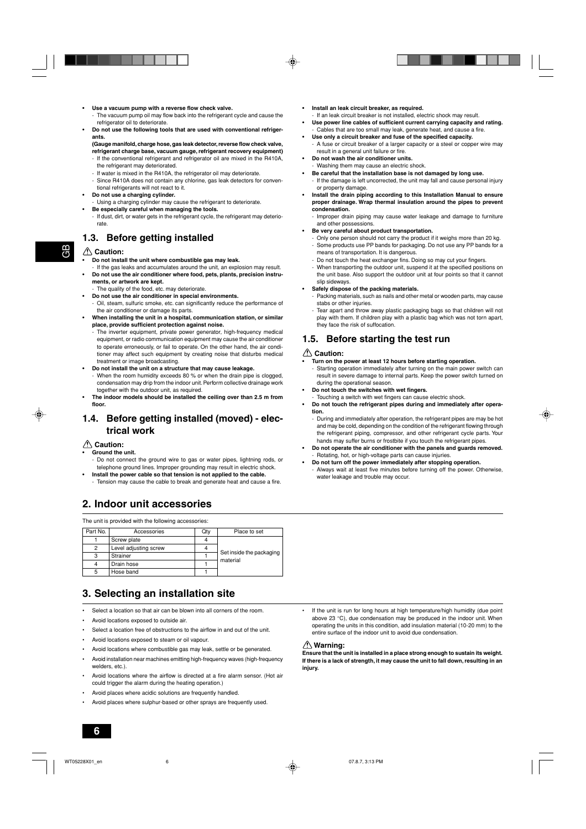- **Use a vacuum pump with a reverse flow check valve.**
	- The vacuum pump oil may flow back into the refrigerant cycle and cause the refrigerator oil to deteriorate.
- **Do not use the following tools that are used with conventional refrigerants.**

**(Gauge manifold, charge hose, gas leak detector, reverse flow check valve, refrigerant charge base, vacuum gauge, refrigerant recovery equipment)**

- If the conventional refrigerant and refrigerator oil are mixed in the R410A, the refrigerant may deteriorated.
- If water is mixed in the R410A, the refrigerator oil may deteriorate.
- Since R410A does not contain any chlorine, gas leak detectors for conven-
- tional refrigerants will not react to it.
- **Do not use a charging cylinder.**
- Using a charging cylinder may cause the refrigerant to deteriorate. **• Be especially careful when managing the tools.**
	- If dust, dirt, or water gets in the refrigerant cycle, the refrigerant may deteriorate.

# **1.3. Before getting installed**

## **Caution:**

GB

- **Do not install the unit where combustible gas may leak.**
- If the gas leaks and accumulates around the unit, an explosion may result. **• Do not use the air conditioner where food, pets, plants, precision instruments, or artwork are kept.**

The quality of the food, etc. may deteriorate.

- **Do not use the air conditioner in special environments.**
- Oil, steam, sulfuric smoke, etc. can significantly reduce the performance of the air conditioner or damage its parts.
- **When installing the unit in a hospital, communication station, or similar place, provide sufficient protection against noise.**
	- The inverter equipment, private power generator, high-frequency medical equipment, or radio communication equipment may cause the air conditioner to operate erroneously, or fail to operate. On the other hand, the air conditioner may affect such equipment by creating noise that disturbs medical treatment or image broadcasting.
- **Do not install the unit on a structure that may cause leakage.**
- When the room humidity exceeds 80 % or when the drain pipe is clogged, condensation may drip from the indoor unit. Perform collective drainage work together with the outdoor unit, as required.
- **The indoor models should be installed the ceiling over than 2.5 m from floor.**

# **1.4. Before getting installed (moved) - electrical work**

## **Caution:**

- **Ground the unit.**
- Do not connect the ground wire to gas or water pipes, lightning rods, or telephone ground lines. Improper grounding may result in electric shock.
- **Install the power cable so that tension is not applied to the cable.** Tension may cause the cable to break and generate heat and cause a fire.

# **2. Indoor unit accessories**

The unit is provided with the following accessories:

| Part No. | Accessories           | Qtv | Place to set             |
|----------|-----------------------|-----|--------------------------|
|          | Screw plate           |     |                          |
| 2        | Level adjusting screw |     |                          |
| 3        | Strainer              |     | Set inside the packaging |
|          | Drain hose            |     | material                 |
|          | Hose band             |     |                          |

# **3. Selecting an installation site**

- Select a location so that air can be blown into all corners of the room.
- Avoid locations exposed to outside air.
- Select a location free of obstructions to the airflow in and out of the unit.
- Avoid locations exposed to steam or oil vapour.
- Avoid locations where combustible gas may leak, settle or be generated.
- Avoid installation near machines emitting high-frequency waves (high-frequency welders, etc.).
- Avoid locations where the airflow is directed at a fire alarm sensor. (Hot air could trigger the alarm during the heating operation.)
- Avoid places where acidic solutions are frequently handled.
- Avoid places where sulphur-based or other sprays are frequently used.
- **Install an leak circuit breaker, as required.**
- If an leak circuit breaker is not installed, electric shock may result. **• Use power line cables of sufficient current carrying capacity and rating.** Cables that are too small may leak, generate heat, and cause a fire.
- **Use only a circuit breaker and fuse of the specified capacity.**
- A fuse or circuit breaker of a larger capacity or a steel or copper wire may result in a general unit failure or fire.
- **Do not wash the air conditioner units.**
- Washing them may cause an electric shock.
- **Be careful that the installation base is not damaged by long use.**
- If the damage is left uncorrected, the unit may fall and cause personal injury or property damage.
- **Install the drain piping according to this Installation Manual to ensure proper drainage. Wrap thermal insulation around the pipes to prevent condensation.**

- Improper drain piping may cause water leakage and damage to furniture and other possessions.

- **Be very careful about product transportation.**
	- Only one person should not carry the product if it weighs more than 20 kg. - Some products use PP bands for packaging. Do not use any PP bands for a means of transportation. It is dangerous.
	- Do not touch the heat exchanger fins. Doing so may cut your fingers.
	- When transporting the outdoor unit, suspend it at the specified positions on the unit base. Also support the outdoor unit at four points so that it cannot slip sideways.

#### **• Safely dispose of the packing materials.**

- Packing materials, such as nails and other metal or wooden parts, may cause stabs or other injuries.
- Tear apart and throw away plastic packaging bags so that children will not play with them. If children play with a plastic bag which was not torn apart, they face the risk of suffocation.

# **1.5. Before starting the test run**

### **Caution:**

- **Turn on the power at least 12 hours before starting operation.**
- Starting operation immediately after turning on the main power switch can result in severe damage to internal parts. Keep the power switch turned on during the operational season.
- **Do not touch the switches with wet fingers.**
- Touching a switch with wet fingers can cause electric shock.
- **Do not touch the refrigerant pipes during and immediately after operation.**
	- During and immediately after operation, the refrigerant pipes are may be hot and may be cold, depending on the condition of the refrigerant flowing through the refrigerant piping, compressor, and other refrigerant cycle parts. Your hands may suffer burns or frostbite if you touch the refrigerant pipes.
- **Do not operate the air conditioner with the panels and guards removed.** Rotating, hot, or high-voltage parts can cause injuries.
- **Do not turn off the power immediately after stopping operation.** - Always wait at least five minutes before turning off the power. Otherwise, water leakage and trouble may occur.

If the unit is run for long hours at high temperature/high humidity (due point above 23 °C), due condensation may be produced in the indoor unit. When operating the units in this condition, add insulation material (10-20 mm) to the entire surface of the indoor unit to avoid due condensation.

### **Warning:**

**Ensure that the unit is installed in a place strong enough to sustain its weight. If there is a lack of strength, it may cause the unit to fall down, resulting in an injury.**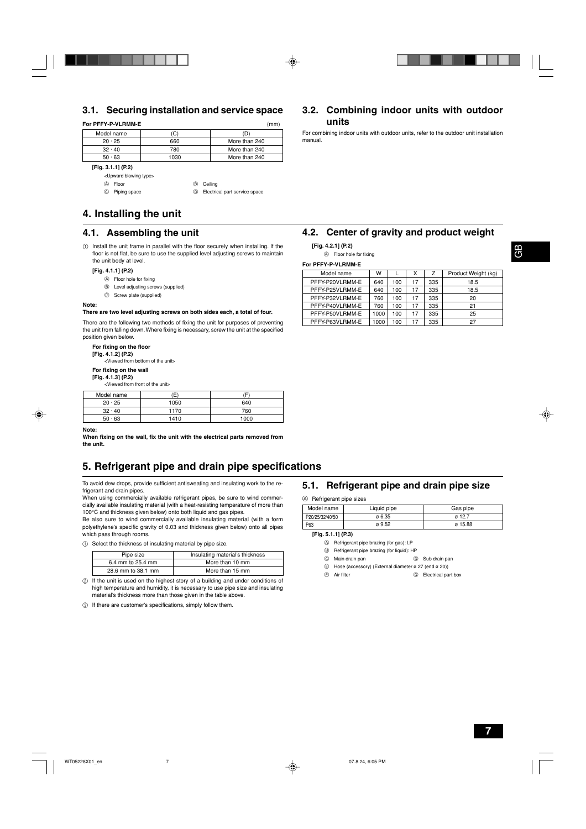# **3.1. Securing installation and service space**

### **For PFFY-P-VLRMM-E** (mm)

| Model name    | C)   |               |
|---------------|------|---------------|
| $20 \cdot 25$ | 660  | More than 240 |
| $32 \cdot 40$ | 780  | More than 240 |
| 50.63         | 1030 | More than 240 |

#### **[Fig. 3.1.1] (P.2)**

|   | <upward blowing="" type=""></upward> |           |
|---|--------------------------------------|-----------|
|   | (A) Floor                            | ® Ceiling |
| ⋒ | Distant conce                        | Electric  |

# Piping space **D** Electrical part service space

# **4. Installing the unit**

## **4.1. Assembling the unit**

1 Install the unit frame in parallel with the floor securely when installing. If the floor is not flat, be sure to use the supplied level adjusting screws to maintain the unit body at level.

**[Fig. 4.1.1] (P.2)**

- A Floor hole for fixing
- B Level adjusting screws (supplied)
- C Screw plate (supplied)

#### **Note:**

#### **There are two level adjusting screws on both sides each, a total of four.**

There are the following two methods of fixing the unit for purposes of preventing the unit from falling down. Where fixing is necessary, screw the unit at the specified position given below.

**For fixing on the floor [Fig. 4.1.2] (P.2)**

<Viewed from bottom of the unit>

**For fixing on the wall**

# **[Fig. 4.1.3] (P.2)**

<Viewed from front of the unit>

| Model name    |      |      |
|---------------|------|------|
| $20 \cdot 25$ | 1050 | 640  |
| $32 \cdot 40$ | 1170 | 760  |
| $50 \cdot 63$ | 1410 | 1000 |

#### **Note:**

**When fixing on the wall, fix the unit with the electrical parts removed from the unit.**

# **5. Refrigerant pipe and drain pipe specifications**

To avoid dew drops, provide sufficient antisweating and insulating work to the refrigerant and drain pipes.

When using commercially available refrigerant pipes, be sure to wind commercially available insulating material (with a heat-resisting temperature of more than 100°C and thickness given below) onto both liquid and gas pipes.

Be also sure to wind commercially available insulating material (with a form polyethylene's specific gravity of 0.03 and thickness given below) onto all pipes which pass through rooms.

1 Select the thickness of insulating material by pipe size.

| Pipe size          | Insulating material's thickness |
|--------------------|---------------------------------|
| 6.4 mm to 25.4 mm  | More than 10 mm                 |
| 28.6 mm to 38.1 mm | More than 15 mm                 |

2 If the unit is used on the highest story of a building and under conditions of high temperature and humidity, it is necessary to use pipe size and insulating material's thickness more than those given in the table above.

3 If there are customer's specifications, simply follow them.

## **3.2. Combining indoor units with outdoor units**

For combining indoor units with outdoor units, refer to the outdoor unit installation manual.

## **4.2. Center of gravity and product weight**

**[Fig. 4.2.1] (P.2)**

A Floor hole for fixing

| For PFFY-P-VLRMM-E |      |     |    |     |                     |
|--------------------|------|-----|----|-----|---------------------|
| Model name         | w    |     | x  | Z   | Product Weight (kg) |
| PFFY-P20VLRMM-E    | 640  | 100 | 17 | 335 | 18.5                |
| PFFY-P25VLRMM-E    | 640  | 100 | 17 | 335 | 18.5                |
| PFFY-P32VLRMM-E    | 760  | 100 | 17 | 335 | 20                  |
| PFFY-P40VLRMM-E    | 760  | 100 | 17 | 335 | 21                  |
| PFFY-P50VLRMM-E    | 1000 | 100 | 17 | 335 | 25                  |
| PFFY-P63VLRMM-E    | 1000 | 100 | 17 | 335 | 27                  |

## **5.1. Refrigerant pipe and drain pipe size**

A Refrigerant pipe sizes

| Model name      | Liquid pipe | Gas pipe      |
|-----------------|-------------|---------------|
| P20/25/32/40/50 | ø 6.35      | $\alpha$ 12.7 |
| P63             | 0.9.52      | ø 15.88       |

**[Fig. 5.1.1] (P.3)**

- A Refrigerant pipe brazing (for gas): LP
- B Refrigerant pipe brazing (for liquid): HP
- $\circledcirc$  Main drain pan  $\circledcirc$  Sub drain pan
- E Hose (accessory) (External diameter ø 27 (end ø 20))
- F Air filter G Electrical part box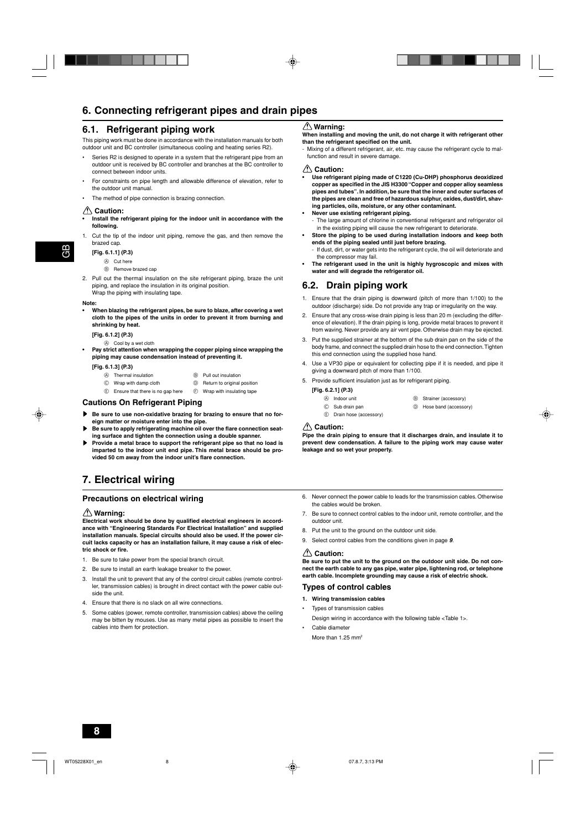# **6. Connecting refrigerant pipes and drain pipes**

## **6.1. Refrigerant piping work**

This piping work must be done in accordance with the installation manuals for both outdoor unit and BC controller (simultaneous cooling and heating series R2).

- Series R2 is designed to operate in a system that the refrigerant pipe from an outdoor unit is received by BC controller and branches at the BC controller to connect between indoor units.
- For constraints on pipe length and allowable difference of elevation, refer to the outdoor unit manual.
- The method of pipe connection is brazing connection.

### *A* Caution:

- **Install the refrigerant piping for the indoor unit in accordance with the following.**
- 1. Cut the tip of the indoor unit piping, remove the gas, and then remove the brazed cap.

## **[Fig. 6.1.1] (P.3)**

- A Cut here
	- B Remove brazed cap
- 2. Pull out the thermal insulation on the site refrigerant piping, braze the unit piping, and replace the insulation in its original position. Wrap the piping with insulating tape.

#### **Note:**

**• When blazing the refrigerant pipes, be sure to blaze, after covering a wet cloth to the pipes of the units in order to prevent it from burning and shrinking by heat.**

**[Fig. 6.1.2] (P.3)**

A Cool by a wet cloth

**• Pay strict attention when wrapping the copper piping since wrapping the piping may cause condensation instead of preventing it.**

**[Fig. 6.1.3] (P.3)**

- (A) Thermal insulation (B) Pull out insulation
- C Wrap with damp cloth  $\circledR$  Return to original position
- $\circledR$  Ensure that there is no gap here  $\circledR$  Wrap with insulating tape

## **Cautions On Refrigerant Piping**

- Be sure to use non-oxidative brazing for brazing to ensure that no for**eign matter or moisture enter into the pipe.**
- Be sure to apply refrigerating machine oil over the flare connection seat**ing surface and tighten the connection using a double spanner.**
- Provide a metal brace to support the refrigerant pipe so that no load is **imparted to the indoor unit end pipe. This metal brace should be provided 50 cm away from the indoor unit's flare connection.**

# **7. Electrical wiring**

## **Precautions on electrical wiring**

### **Warning:**

**Electrical work should be done by qualified electrical engineers in accordance with "Engineering Standards For Electrical Installation" and supplied installation manuals. Special circuits should also be used. If the power circuit lacks capacity or has an installation failure, it may cause a risk of electric shock or fire.**

- 1. Be sure to take power from the special branch circuit.
- 2. Be sure to install an earth leakage breaker to the power.
- 3. Install the unit to prevent that any of the control circuit cables (remote controller, transmission cables) is brought in direct contact with the power cable outside the unit.
- 4. Ensure that there is no slack on all wire connections.
- 5. Some cables (power, remote controller, transmission cables) above the ceiling may be bitten by mouses. Use as many metal pipes as possible to insert the cables into them for protection.

### **Warning:**

**When installing and moving the unit, do not charge it with refrigerant other than the refrigerant specified on the unit.**

- Mixing of a different refrigerant, air, etc. may cause the refrigerant cycle to malfunction and result in severe damage.

### **Caution:**

- **Use refrigerant piping made of C1220 (Cu-DHP) phosphorus deoxidized copper as specified in the JIS H3300 "Copper and copper alloy seamless pipes and tubes". In addition, be sure that the inner and outer surfaces of the pipes are clean and free of hazardous sulphur, oxides, dust/dirt, shaving particles, oils, moisture, or any other contaminant.**
- **Never use existing refrigerant piping.**
- The large amount of chlorine in conventional refrigerant and refrigerator oil in the existing piping will cause the new refrigerant to deteriorate.
- **Store the piping to be used during installation indoors and keep both ends of the piping sealed until just before brazing.**
	- If dust, dirt, or water gets into the refrigerant cycle, the oil will deteriorate and the compressor may fail.
- **The refrigerant used in the unit is highly hygroscopic and mixes with water and will degrade the refrigerator oil.**

## **6.2. Drain piping work**

- 1. Ensure that the drain piping is downward (pitch of more than 1/100) to the outdoor (discharge) side. Do not provide any trap or irregularity on the way.
- 2. Ensure that any cross-wise drain piping is less than 20 m (excluding the difference of elevation). If the drain piping is long, provide metal braces to prevent it from waving. Never provide any air vent pipe. Otherwise drain may be ejected.
- 3. Put the supplied strainer at the bottom of the sub drain pan on the side of the body frame, and connect the supplied drain hose to the end connection. Tighten this end connection using the supplied hose hand.
- 4. Use a VP30 pipe or equivalent for collecting pipe if it is needed, and pipe it giving a downward pitch of more than 1/100.
- 5. Provide sufficient insulation just as for refrigerant piping.

#### **[Fig. 6.2.1] (P.3)**

- A Indoor unit B Strainer (accessory)
- C Sub drain pan  $\circledcirc$  Hose band (accessory)
- E Drain hose (accessory)

#### *A* Caution:

**Pipe the drain piping to ensure that it discharges drain, and insulate it to prevent dew condensation. A failure to the piping work may cause water leakage and so wet your property.**

- 6. Never connect the power cable to leads for the transmission cables. Otherwise the cables would be broken.
- 7. Be sure to connect control cables to the indoor unit, remote controller, and the outdoor unit.
- 8. Put the unit to the ground on the outdoor unit side.
- 9. Select control cables from the conditions given in page **9**.

#### **∠<sup>***L***</sup> Caution:**

**Be sure to put the unit to the ground on the outdoor unit side. Do not connect the earth cable to any gas pipe, water pipe, lightening rod, or telephone earth cable. Incomplete grounding may cause a risk of electric shock.**

### **Types of control cables**

- **1. Wiring transmission cables**
- Types of transmission cables
- Design wiring in accordance with the following table <Table 1>.
- Cable diameter More than 1.25 mm<sup>2</sup>

GB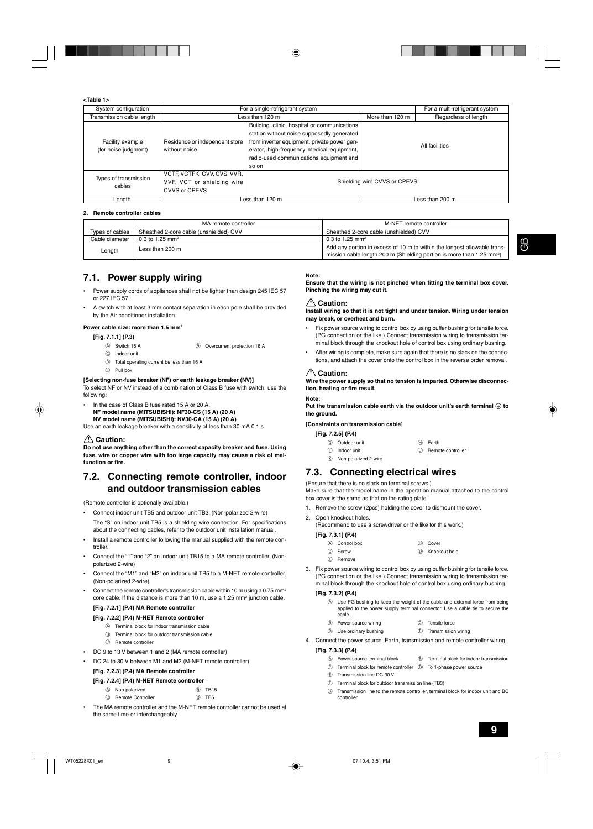| System configuration                     | For a single-refrigerant system                                                   |                                                                                                                                                                                                                                            |                 | For a multi-refrigerant system |
|------------------------------------------|-----------------------------------------------------------------------------------|--------------------------------------------------------------------------------------------------------------------------------------------------------------------------------------------------------------------------------------------|-----------------|--------------------------------|
| Transmission cable length                | Less than 120 m                                                                   |                                                                                                                                                                                                                                            | More than 120 m | Regardless of length           |
| Facility example<br>(for noise judgment) | Residence or independent store<br>without noise                                   | Building, clinic, hospital or communications<br>station without noise supposedly generated<br>from inverter equipment, private power gen-<br>erator, high-frequency medical equipment,<br>radio-used communications equipment and<br>so on |                 | All facilities                 |
| Types of transmission<br>cables          | VCTF, VCTFK, CVV, CVS, VVR,<br>VVF, VCT or shielding wire<br><b>CVVS or CPEVS</b> | Shielding wire CVVS or CPEVS                                                                                                                                                                                                               |                 |                                |
| Length                                   | Less than 120 m                                                                   |                                                                                                                                                                                                                                            |                 | Less than 200 m                |

### **2. Remote controller cables**

|                 | MA remote controller                   | M-NET remote controller                                                                                                                                       |  |
|-----------------|----------------------------------------|---------------------------------------------------------------------------------------------------------------------------------------------------------------|--|
| Types of cables | Sheathed 2-core cable (unshielded) CVV | Sheathed 2-core cable (unshielded) CVV                                                                                                                        |  |
| Cable diameter  | $10.3$ to 1.25 mm <sup>2</sup>         | 0.3 to 1.25 mm <sup>2</sup>                                                                                                                                   |  |
| Length          | Less than 200 m                        | Add any portion in excess of 10 m to within the longest allowable trans-<br>mission cable length 200 m (Shielding portion is more than 1.25 mm <sup>2</sup> ) |  |

## **7.1. Power supply wiring**

- Power supply cords of appliances shall not be lighter than design 245 IEC 57 or 227 IEC 57.
- A switch with at least 3 mm contact separation in each pole shall be provided by the Air conditioner installation.

#### **Power cable size: more than 1.5 mm2**

#### **[Fig. 7.1.1] (P.3)**

- (A) Switch 16 A B Overcurrent protection 16 A
- C Indoor unit
- D Total operating current be less than 16 A
- E Pull box

#### **[Selecting non-fuse breaker (NF) or earth leakage breaker (NV)]**

To select NF or NV instead of a combination of Class B fuse with switch, use the following:

In the case of Class B fuse rated 15 A or 20 A **NF model name (MITSUBISHI): NF30-CS (15 A) (20 A) NV model name (MITSUBISHI): NV30-CA (15 A) (20 A)**

Use an earth leakage breaker with a sensitivity of less than 30 mA 0.1 s.

#### **Caution:**

**Do not use anything other than the correct capacity breaker and fuse. Using fuse, wire or copper wire with too large capacity may cause a risk of malfunction or fire.**

# **7.2. Connecting remote controller, indoor and outdoor transmission cables**

(Remote controller is optionally available.)

- Connect indoor unit TB5 and outdoor unit TB3. (Non-polarized 2-wire) The "S" on indoor unit TB5 is a shielding wire connection. For specifications about the connecting cables, refer to the outdoor unit installation manual.
- Install a remote controller following the manual supplied with the remote controller.
- Connect the "1" and "2" on indoor unit TB15 to a MA remote controller. (Nonpolarized 2-wire)
- Connect the "M1" and "M2" on indoor unit TB5 to a M-NET remote controller. (Non-polarized 2-wire)
- Connect the remote controller's transmission cable within 10 m using a 0.75 mm2 core cable. If the distance is more than 10 m, use a 1.25 mm2 junction cable.

### **[Fig. 7.2.1] (P.4) MA Remote controller**

### **[Fig. 7.2.2] (P.4) M-NET Remote controller**

- A Terminal block for indoor transmission cable
- B Terminal block for outdoor transmission cable
- C Remote controller
- DC 9 to 13 V between 1 and 2 (MA remote controller)
- DC 24 to 30 V between M1 and M2 (M-NET remote controller)

### **[Fig. 7.2.3] (P.4) MA Remote controller**

#### **[Fig. 7.2.4] (P.4) M-NET Remote controller**

|  | 4 Non-polarized |  | (B) TB15 |
|--|-----------------|--|----------|
|--|-----------------|--|----------|

- C Remote Controller D TB5
- The MA remote controller and the M-NET remote controller cannot be used at the same time or interchangeably.

#### **Note:**

**Ensure that the wiring is not pinched when fitting the terminal box cover. Pinching the wiring may cut it.**

#### **Caution:**

**Install wiring so that it is not tight and under tension. Wiring under tension may break, or overheat and burn.**

- Fix power source wiring to control box by using buffer bushing for tensile force. (PG connection or the like.) Connect transmission wiring to transmission terminal block through the knockout hole of control box using ordinary bushing.
- After wiring is complete, make sure again that there is no slack on the connections, and attach the cover onto the control box in the reverse order removal.

#### *A* Caution:

**Wire the power supply so that no tension is imparted. Otherwise disconnection, heating or fire result.**

#### **Note:**

Put the transmission cable earth via the outdoor unit's earth terminal  $\bigoplus$  to **the ground.**

#### **[Constraints on transmission cable]**

#### **[Fig. 7.2.5] (P.4)**

|  | (G) Outdoor unit |  | H Earth |
|--|------------------|--|---------|
|--|------------------|--|---------|

- (i) Indoor unit  $\qquad \qquad \textcircled{1}$  Remote controller
- $R$  Non-polarized 2-wire

# **7.3. Connecting electrical wires**

(Ensure that there is no slack on terminal screws.) Make sure that the model name in the operation manual attached to the control box cover is the same as that on the rating plate.

- 1. Remove the screw (2pcs) holding the cover to dismount the cover.
- 2. Open knockout holes.
- (Recommend to use a screwdriver or the like for this work.)

#### **[Fig. 7.3.1] (P.4)**

- **A** Control box **B** Cover
- C Screw D Knockout hole
- E Remove
- 3. Fix power source wiring to control box by using buffer bushing for tensile force. (PG connection or the like.) Connect transmission wiring to transmission terminal block through the knockout hole of control box using ordinary bushing.

#### **[Fig. 7.3.2] (P.4)**

- A Use PG bushing to keep the weight of the cable and external force from being applied to the power supply terminal connector. Use a cable tie to secure the cable.
- **B** Power source wiring C Tensile force
- D Use ordinary bushing E Transmission wiring
- 4. Connect the power source, Earth, transmission and remote controller wiring.

### **[Fig. 7.3.3] (P.4)**

- A Power source terminal block B Terminal block for indoor transmission
- C Terminal block for remote controller  $\circledD$  To 1-phase power source
- E Transmission line DC 30 V
- F Terminal block for outdoor transmission line (TB3)
- G Transmission line to the remote controller, terminal block for indoor unit and BC controller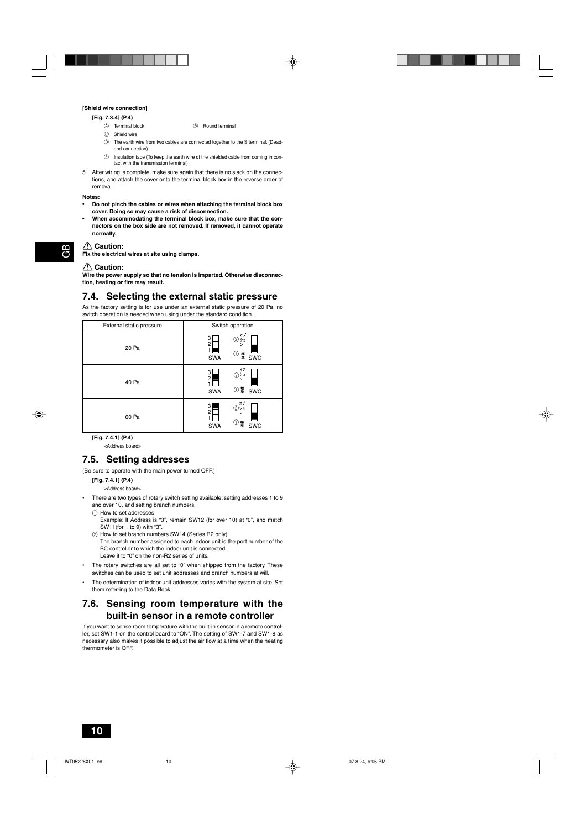### **[Shield wire connection]**

### **[Fig. 7.3.4] (P.4)**

- A Terminal block B Round terminal
	-
	- C Shield wire
	- D The earth wire from two cables are connected together to the S terminal. (Deadend connection)
	- E Insulation tape (To keep the earth wire of the shielded cable from coming in contact with the transmission terminal)
- 5. After wiring is complete, make sure again that there is no slack on the connections, and attach the cover onto the terminal block box in the reverse order of removal.

#### **Notes:**

- **Do not pinch the cables or wires when attaching the terminal block box cover. Doing so may cause a risk of disconnection.**
- When accommodating the terminal block box, make sure that the con**nectors on the box side are not removed. If removed, it cannot operate normally.**

## **Caution:**

**Fix the electrical wires at site using clamps.**

### **Caution:**

**Wire the power supply so that no tension is imparted. Otherwise disconnection, heating or fire may result.**

# **7.4. Selecting the external static pressure**

As the factory setting is for use under an external static pressure of 20 Pa, no switch operation is needed when using under the standard condition.

| External static pressure | Switch operation                                                            |
|--------------------------|-----------------------------------------------------------------------------|
| 20 Pa                    | オブ<br>3<br>②<br>ショ<br>2<br>標準<br>O<br>SWC<br><b>SWA</b>                     |
| 40 Pa                    | オプ<br>3<br><b>②</b> ショ<br>2<br>①犟<br><b>SWC</b><br><b>SWA</b>               |
| 60 Pa                    | オプ<br>3<br>(2)ショ<br>$\overline{2}$<br>標準<br>(1)<br><b>SWC</b><br><b>SWA</b> |

**[Fig. 7.4.1] (P.4)**

#### <Address board>

## **7.5. Setting addresses**

(Be sure to operate with the main power turned OFF.)

#### **[Fig. 7.4.1] (P.4)**

<Address board>

- There are two types of rotary switch setting available: setting addresses 1 to 9 and over 10, and setting branch numbers.
	- 1 How to set addresses
	- Example: If Address is "3", remain SW12 (for over 10) at "0", and match SW11(for 1 to 9) with "3".
	- 2 How to set branch numbers SW14 (Series R2 only) The branch number assigned to each indoor unit is the port number of the BC controller to which the indoor unit is connected. Leave it to "0" on the non-R2 series of units.
- The rotary switches are all set to "0" when shipped from the factory. These switches can be used to set unit addresses and branch numbers at will.
- The determination of indoor unit addresses varies with the system at site. Set them referring to the Data Book.

## **7.6. Sensing room temperature with the built-in sensor in a remote controller**

If you want to sense room temperature with the built-in sensor in a remote controller, set SW1-1 on the control board to "ON". The setting of SW1-7 and SW1-8 as necessary also makes it possible to adjust the air flow at a time when the heating thermometer is OFF.

 $\overline{6}$